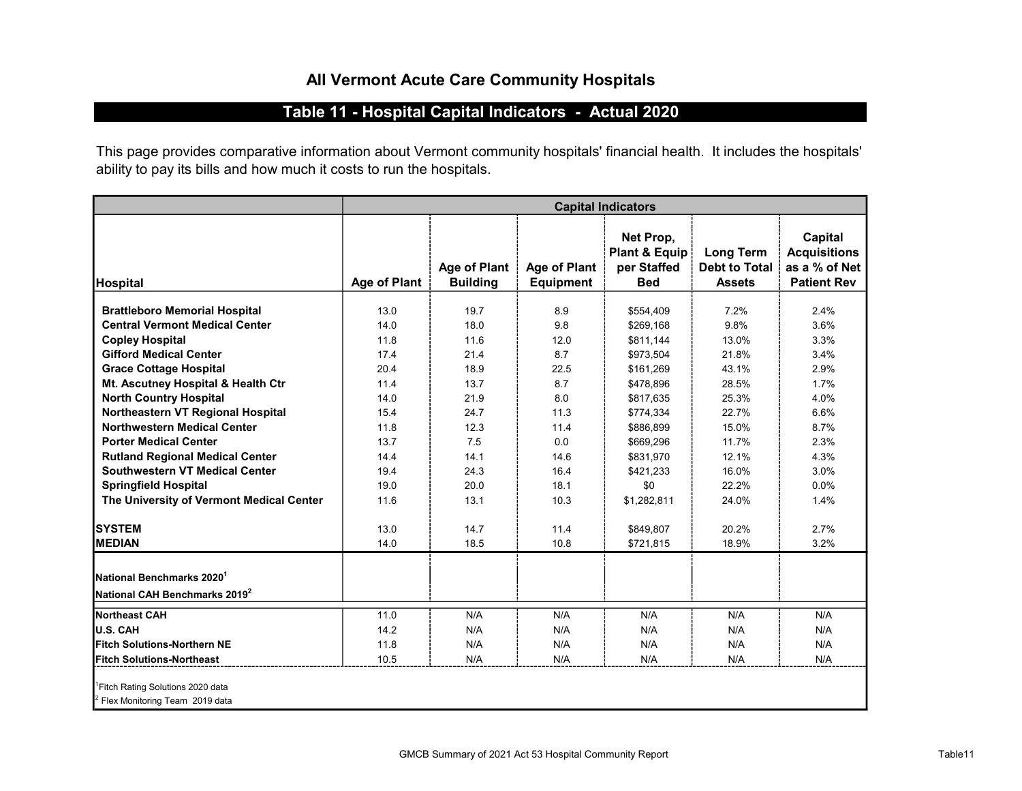## All Vermont Acute Care Community Hospitals

## Table 11 - Hospital Capital Indicators - Actual 2020

This page provides comparative information about Vermont community hospitals' financial health. It includes the hospitals' ability to pay its bills and how much it costs to run the hospitals.

|                                                                                 | <b>Capital Indicators</b> |                                        |                                  |                                                         |                                                           |                                                                       |  |
|---------------------------------------------------------------------------------|---------------------------|----------------------------------------|----------------------------------|---------------------------------------------------------|-----------------------------------------------------------|-----------------------------------------------------------------------|--|
| Hospital                                                                        | <b>Age of Plant</b>       | <b>Age of Plant</b><br><b>Building</b> | Age of Plant<br><b>Equipment</b> | Net Prop,<br>Plant & Equip<br>per Staffed<br><b>Bed</b> | <b>Long Term</b><br><b>Debt to Total</b><br><b>Assets</b> | Capital<br><b>Acquisitions</b><br>as a % of Net<br><b>Patient Rev</b> |  |
|                                                                                 |                           |                                        |                                  |                                                         |                                                           |                                                                       |  |
| <b>Brattleboro Memorial Hospital</b>                                            | 13.0                      | 19.7                                   | 8.9                              | \$554,409                                               | 7.2%                                                      | 2.4%                                                                  |  |
| <b>Central Vermont Medical Center</b>                                           | 14.0                      | 18.0                                   | 9.8                              | \$269,168                                               | 9.8%                                                      | 3.6%                                                                  |  |
| <b>Copley Hospital</b>                                                          | 11.8                      | 11.6                                   | 12.0                             | \$811,144                                               | 13.0%                                                     | 3.3%                                                                  |  |
| <b>Gifford Medical Center</b>                                                   | 17.4                      | 21.4                                   | 8.7                              | \$973,504                                               | 21.8%                                                     | 3.4%                                                                  |  |
| <b>Grace Cottage Hospital</b>                                                   | 20.4                      | 18.9                                   | 22.5                             | \$161,269                                               | 43.1%                                                     | 2.9%                                                                  |  |
| Mt. Ascutney Hospital & Health Ctr                                              | 11.4                      | 13.7                                   | 8.7                              | \$478,896                                               | 28.5%                                                     | 1.7%                                                                  |  |
| <b>North Country Hospital</b>                                                   | 14.0                      | 21.9                                   | 8.0                              | \$817,635                                               | 25.3%                                                     | 4.0%                                                                  |  |
| Northeastern VT Regional Hospital                                               | 15.4                      | 24.7                                   | 11.3                             | \$774,334                                               | 22.7%                                                     | 6.6%                                                                  |  |
| <b>Northwestern Medical Center</b>                                              | 11.8                      | 12.3                                   | 11.4                             | \$886,899                                               | 15.0%                                                     | 8.7%                                                                  |  |
| <b>Porter Medical Center</b>                                                    | 13.7                      | 7.5                                    | 0.0                              | \$669,296                                               | 11.7%                                                     | 2.3%                                                                  |  |
| <b>Rutland Regional Medical Center</b>                                          | 14.4                      | 14.1                                   | 14.6                             | \$831,970                                               | 12.1%                                                     | 4.3%                                                                  |  |
| <b>Southwestern VT Medical Center</b>                                           | 19.4                      | 24.3                                   | 16.4                             | \$421,233                                               | 16.0%                                                     | 3.0%                                                                  |  |
| <b>Springfield Hospital</b>                                                     | 19.0                      | 20.0                                   | 18.1                             | \$0                                                     | 22.2%                                                     | 0.0%                                                                  |  |
| The University of Vermont Medical Center                                        | 11.6                      | 13.1                                   | 10.3                             | \$1,282,811                                             | 24.0%                                                     | 1.4%                                                                  |  |
| ISYSTEM                                                                         | 13.0                      | 14.7                                   | 11.4                             | \$849,807                                               | 20.2%                                                     | 2.7%                                                                  |  |
| <b>IMEDIAN</b>                                                                  | 14.0                      | 18.5                                   | 10.8                             | \$721,815                                               | 18.9%                                                     | 3.2%                                                                  |  |
| $I$ National Benchmarks 2020 $^\text{1}$                                        |                           |                                        |                                  |                                                         |                                                           |                                                                       |  |
| $\,$ lNational CAH Benchmarks 2019 $^2$                                         |                           |                                        |                                  |                                                         |                                                           |                                                                       |  |
| <b>Northeast CAH</b>                                                            | 11.0                      | N/A                                    | N/A                              | N/A                                                     | N/A                                                       | N/A                                                                   |  |
| lu.s. CAH                                                                       | 14.2                      | N/A                                    | N/A                              | N/A                                                     | N/A                                                       | N/A                                                                   |  |
| <b>Fitch Solutions-Northern NE</b>                                              | 11.8                      | N/A                                    | N/A                              | N/A                                                     | N/A                                                       | N/A                                                                   |  |
| <b>Fitch Solutions-Northeast</b>                                                | 10.5                      | N/A                                    | N/A                              | N/A                                                     | N/A                                                       | N/A                                                                   |  |
|                                                                                 |                           |                                        |                                  |                                                         |                                                           |                                                                       |  |
| <sup>1</sup> Fitch Rating Solutions 2020 data<br>Flex Monitoring Team 2019 data |                           |                                        |                                  |                                                         |                                                           |                                                                       |  |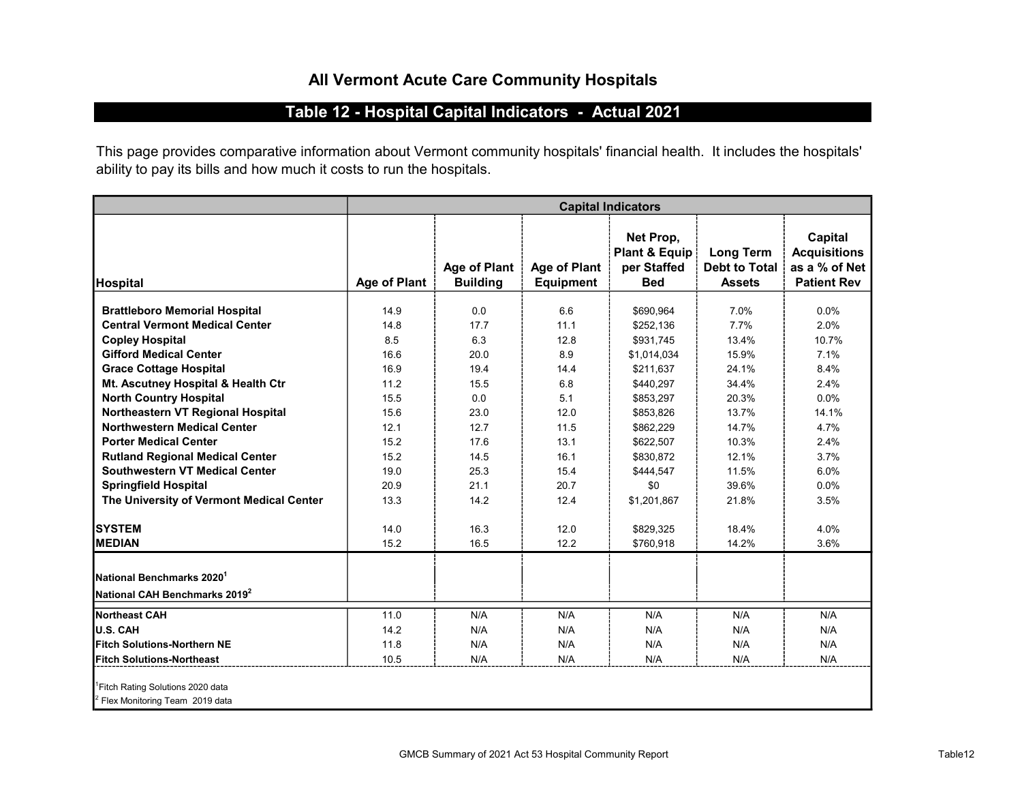## Table 12 - Hospital Capital Indicators - Actual 2021

This page provides comparative information about Vermont community hospitals' financial health. It includes the hospitals' ability to pay its bills and how much it costs to run the hospitals.

|                                                                                     | <b>Capital Indicators</b> |                                        |                                         |                                                         |                                                           |                                                                       |  |
|-------------------------------------------------------------------------------------|---------------------------|----------------------------------------|-----------------------------------------|---------------------------------------------------------|-----------------------------------------------------------|-----------------------------------------------------------------------|--|
| Hospital                                                                            | <b>Age of Plant</b>       | <b>Age of Plant</b><br><b>Building</b> | <b>Age of Plant</b><br><b>Equipment</b> | Net Prop,<br>Plant & Equip<br>per Staffed<br><b>Bed</b> | <b>Long Term</b><br><b>Debt to Total</b><br><b>Assets</b> | Capital<br><b>Acquisitions</b><br>as a % of Net<br><b>Patient Rev</b> |  |
|                                                                                     |                           |                                        |                                         |                                                         |                                                           |                                                                       |  |
| <b>Brattleboro Memorial Hospital</b>                                                | 14.9                      | 0.0                                    | 6.6                                     | \$690,964                                               | 7.0%                                                      | 0.0%                                                                  |  |
| <b>Central Vermont Medical Center</b>                                               | 14.8                      | 17.7                                   | 11.1                                    | \$252,136                                               | 7.7%                                                      | 2.0%                                                                  |  |
| <b>Copley Hospital</b>                                                              | 8.5                       | 6.3                                    | 12.8                                    | \$931,745                                               | 13.4%                                                     | 10.7%                                                                 |  |
| <b>Gifford Medical Center</b>                                                       | 16.6                      | 20.0                                   | 8.9                                     | \$1,014,034                                             | 15.9%                                                     | 7.1%                                                                  |  |
| <b>Grace Cottage Hospital</b>                                                       | 16.9                      | 19.4                                   | 14.4                                    | \$211.637                                               | 24.1%                                                     | 8.4%                                                                  |  |
| Mt. Ascutney Hospital & Health Ctr                                                  | 11.2                      | 15.5                                   | 6.8                                     | \$440,297                                               | 34.4%                                                     | 2.4%                                                                  |  |
| <b>North Country Hospital</b>                                                       | 15.5                      | 0.0                                    | 5.1                                     | \$853,297                                               | 20.3%                                                     | 0.0%                                                                  |  |
| Northeastern VT Regional Hospital                                                   | 15.6                      | 23.0                                   | 12.0                                    | \$853,826                                               | 13.7%                                                     | 14.1%                                                                 |  |
| <b>Northwestern Medical Center</b>                                                  | 12.1                      | 12.7                                   | 11.5                                    | \$862,229                                               | 14.7%                                                     | 4.7%                                                                  |  |
| <b>Porter Medical Center</b>                                                        | 15.2                      | 17.6                                   | 13.1                                    | \$622,507                                               | 10.3%                                                     | 2.4%                                                                  |  |
| <b>Rutland Regional Medical Center</b>                                              | 15.2                      | 14.5                                   | 16.1                                    | \$830,872                                               | 12.1%                                                     | 3.7%                                                                  |  |
| <b>Southwestern VT Medical Center</b>                                               | 19.0                      | 25.3                                   | 15.4                                    | \$444,547                                               | 11.5%                                                     | 6.0%                                                                  |  |
| <b>Springfield Hospital</b>                                                         | 20.9                      | 21.1                                   | 20.7                                    | \$0                                                     | 39.6%                                                     | 0.0%                                                                  |  |
| The University of Vermont Medical Center                                            | 13.3                      | 14.2                                   | 12.4                                    | \$1,201,867                                             | 21.8%                                                     | 3.5%                                                                  |  |
| <b>SYSTEM</b>                                                                       | 14.0                      | 16.3                                   | 12.0                                    | \$829,325                                               | 18.4%                                                     | 4.0%                                                                  |  |
| <b>MEDIAN</b>                                                                       | 15.2                      | 16.5                                   | 12.2                                    | \$760,918                                               | 14.2%                                                     | 3.6%                                                                  |  |
| National Benchmarks 2020 <sup>1</sup><br><b>I</b> National CAH Benchmarks 2019 $^2$ |                           |                                        |                                         |                                                         |                                                           |                                                                       |  |
| Northeast CAH                                                                       | 11.0                      | N/A                                    | N/A                                     | N/A                                                     | N/A                                                       | N/A                                                                   |  |
| <b>U.S. CAH</b>                                                                     | 14.2                      | N/A                                    | N/A                                     | N/A                                                     | N/A                                                       | N/A                                                                   |  |
| Fitch Solutions-Northern NE                                                         | 11.8                      | N/A                                    | N/A                                     | N/A                                                     | N/A                                                       | N/A                                                                   |  |
|                                                                                     |                           |                                        | N/A                                     | N/A                                                     |                                                           |                                                                       |  |
| <b>Fitch Solutions-Northeast</b>                                                    | 10.5                      | N/A                                    |                                         |                                                         | N/A                                                       | N/A                                                                   |  |
| <sup>1</sup> Fitch Rating Solutions 2020 data<br>$2$ Flex Monitoring Team 2019 data |                           |                                        |                                         |                                                         |                                                           |                                                                       |  |